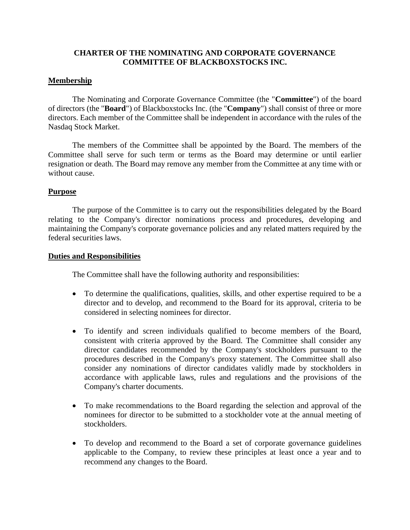# **CHARTER OF THE NOMINATING AND CORPORATE GOVERNANCE COMMITTEE OF BLACKBOXSTOCKS INC.**

## **Membership**

The Nominating and Corporate Governance Committee (the "**Committee**") of the board of directors (the "**Board**") of Blackboxstocks Inc. (the "**Company**") shall consist of three or more directors. Each member of the Committee shall be independent in accordance with the rules of the Nasdaq Stock Market.

The members of the Committee shall be appointed by the Board. The members of the Committee shall serve for such term or terms as the Board may determine or until earlier resignation or death. The Board may remove any member from the Committee at any time with or without cause.

# **Purpose**

The purpose of the Committee is to carry out the responsibilities delegated by the Board relating to the Company's director nominations process and procedures, developing and maintaining the Company's corporate governance policies and any related matters required by the federal securities laws.

## **Duties and Responsibilities**

The Committee shall have the following authority and responsibilities:

- To determine the qualifications, qualities, skills, and other expertise required to be a director and to develop, and recommend to the Board for its approval, criteria to be considered in selecting nominees for director.
- To identify and screen individuals qualified to become members of the Board, consistent with criteria approved by the Board. The Committee shall consider any director candidates recommended by the Company's stockholders pursuant to the procedures described in the Company's proxy statement. The Committee shall also consider any nominations of director candidates validly made by stockholders in accordance with applicable laws, rules and regulations and the provisions of the Company's charter documents.
- To make recommendations to the Board regarding the selection and approval of the nominees for director to be submitted to a stockholder vote at the annual meeting of stockholders.
- To develop and recommend to the Board a set of corporate governance guidelines applicable to the Company, to review these principles at least once a year and to recommend any changes to the Board.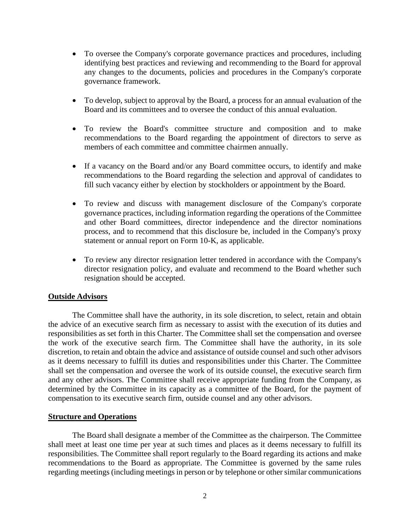- To oversee the Company's corporate governance practices and procedures, including identifying best practices and reviewing and recommending to the Board for approval any changes to the documents, policies and procedures in the Company's corporate governance framework.
- To develop, subject to approval by the Board, a process for an annual evaluation of the Board and its committees and to oversee the conduct of this annual evaluation.
- To review the Board's committee structure and composition and to make recommendations to the Board regarding the appointment of directors to serve as members of each committee and committee chairmen annually.
- If a vacancy on the Board and/or any Board committee occurs, to identify and make recommendations to the Board regarding the selection and approval of candidates to fill such vacancy either by election by stockholders or appointment by the Board.
- To review and discuss with management disclosure of the Company's corporate governance practices, including information regarding the operations of the Committee and other Board committees, director independence and the director nominations process, and to recommend that this disclosure be, included in the Company's proxy statement or annual report on Form 10-K, as applicable.
- To review any director resignation letter tendered in accordance with the Company's director resignation policy, and evaluate and recommend to the Board whether such resignation should be accepted.

## **Outside Advisors**

The Committee shall have the authority, in its sole discretion, to select, retain and obtain the advice of an executive search firm as necessary to assist with the execution of its duties and responsibilities as set forth in this Charter. The Committee shall set the compensation and oversee the work of the executive search firm. The Committee shall have the authority, in its sole discretion, to retain and obtain the advice and assistance of outside counsel and such other advisors as it deems necessary to fulfill its duties and responsibilities under this Charter. The Committee shall set the compensation and oversee the work of its outside counsel, the executive search firm and any other advisors. The Committee shall receive appropriate funding from the Company, as determined by the Committee in its capacity as a committee of the Board, for the payment of compensation to its executive search firm, outside counsel and any other advisors.

## **Structure and Operations**

The Board shall designate a member of the Committee as the chairperson. The Committee shall meet at least one time per year at such times and places as it deems necessary to fulfill its responsibilities. The Committee shall report regularly to the Board regarding its actions and make recommendations to the Board as appropriate. The Committee is governed by the same rules regarding meetings (including meetings in person or by telephone or other similar communications